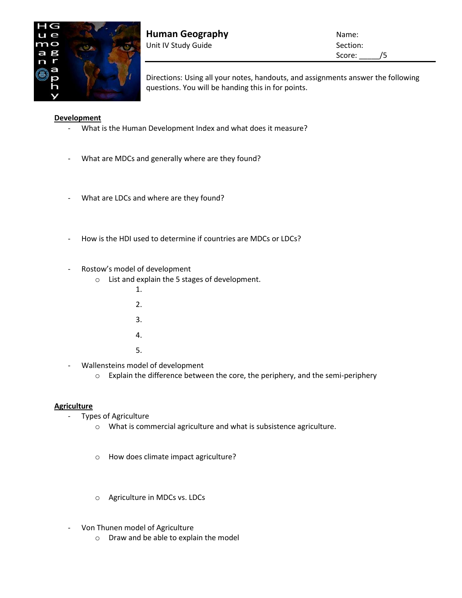

**Human Geography Name:** Name: Unit IV Study Guide Section:

Score: /5

Directions: Using all your notes, handouts, and assignments answer the following questions. You will be handing this in for points.

## **Development**

- What is the Human Development Index and what does it measure?
- What are MDCs and generally where are they found?
- What are LDCs and where are they found?
- How is the HDI used to determine if countries are MDCs or LDCs?
- Rostow's model of development
	- o List and explain the 5 stages of development.
		- 1.
		- 2.
		- 3.
		-
		- 4.
		- 5.
- Wallensteins model of development
	- o Explain the difference between the core, the periphery, and the semi-periphery

## **Agriculture**

- Types of Agriculture
	- o What is commercial agriculture and what is subsistence agriculture.
	- o How does climate impact agriculture?
	- o Agriculture in MDCs vs. LDCs
- Von Thunen model of Agriculture
	- o Draw and be able to explain the model